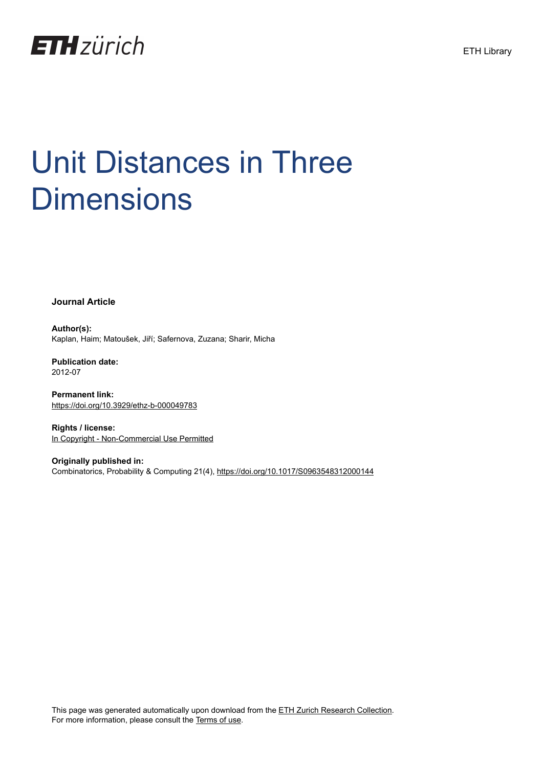

# Unit Distances in Three **Dimensions**

**Journal Article**

**Author(s):** Kaplan, Haim; Matoušek, Jiří; Safernova, Zuzana; Sharir, Micha

**Publication date:** 2012-07

**Permanent link:** <https://doi.org/10.3929/ethz-b-000049783>

**Rights / license:** [In Copyright - Non-Commercial Use Permitted](http://rightsstatements.org/page/InC-NC/1.0/)

**Originally published in:** Combinatorics, Probability & Computing 21(4), <https://doi.org/10.1017/S0963548312000144> ETH Library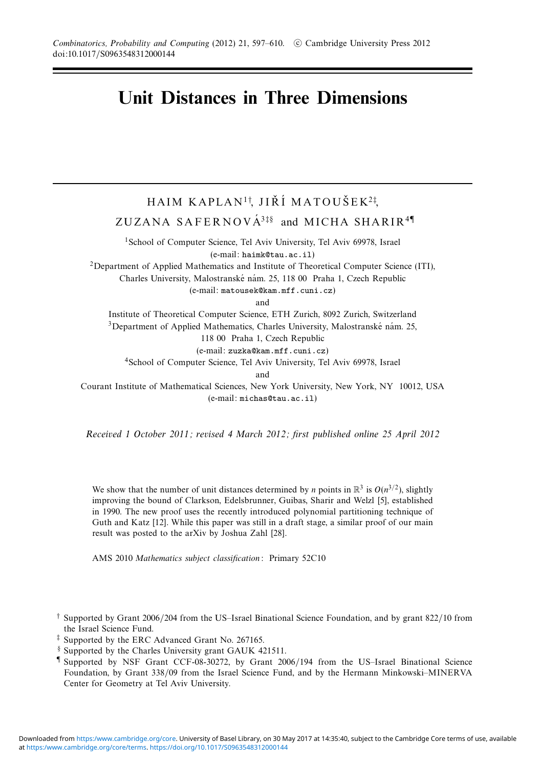## **Unit Distances in Three Dimensions**

HAIM KAPLAN<sup>1†</sup>, JIŘÍ MATOUŠEK<sup>2‡</sup>, ZUZANA SAFERNOV $\mathring{A}^{3\ddagger\S}$  and MICHA SHARIR<sup>4</sup> <sup>1</sup>School of Computer Science, Tel Aviv University, Tel Aviv 69978, Israel (e-mail: haimk@tau.ac.il)  $2$ Department of Applied Mathematics and Institute of Theoretical Computer Science (ITI), Charles University, Malostranské nám. 25, 118 00 Praha 1, Czech Republic (e-mail: matousek@kam.mff.cuni.cz) and Institute of Theoretical Computer Science, ETH Zurich, 8092 Zurich, Switzerland  $3$ Department of Applied Mathematics, Charles University, Malostranské nám. 25, 118 00 Praha 1, Czech Republic (e-mail: zuzka@kam.mff.cuni.cz) 4School of Computer Science, Tel Aviv University, Tel Aviv 69978, Israel and Courant Institute of Mathematical Sciences, New York University, New York, NY 10012, USA (e-mail: michas@tau.ac.il)

Received 1 October 2011; revised 4 March 2012; first published online 25 April 2012

We show that the number of unit distances determined by *n* points in  $\mathbb{R}^3$  is  $O(n^{3/2})$ , slightly improving the bound of Clarkson, Edelsbrunner, Guibas, Sharir and Welzl [5], established in 1990. The new proof uses the recently introduced polynomial partitioning technique of Guth and Katz [12]. While this paper was still in a draft stage, a similar proof of our main result was posted to the arXiv by Joshua Zahl [28].

AMS 2010 Mathematics subject classification: Primary 52C10

- § Supported by the Charles University grant GAUK 421511.
- ¶ Supported by NSF Grant CCF-08-30272, by Grant 2006/194 from the US–Israel Binational Science Foundation, by Grant 338/09 from the Israel Science Fund, and by the Hermann Minkowski–MINERVA Center for Geometry at Tel Aviv University.

<sup>†</sup> Supported by Grant 2006/204 from the US–Israel Binational Science Foundation, and by grant 822/10 from the Israel Science Fund.

<sup>‡</sup> Supported by the ERC Advanced Grant No. 267165.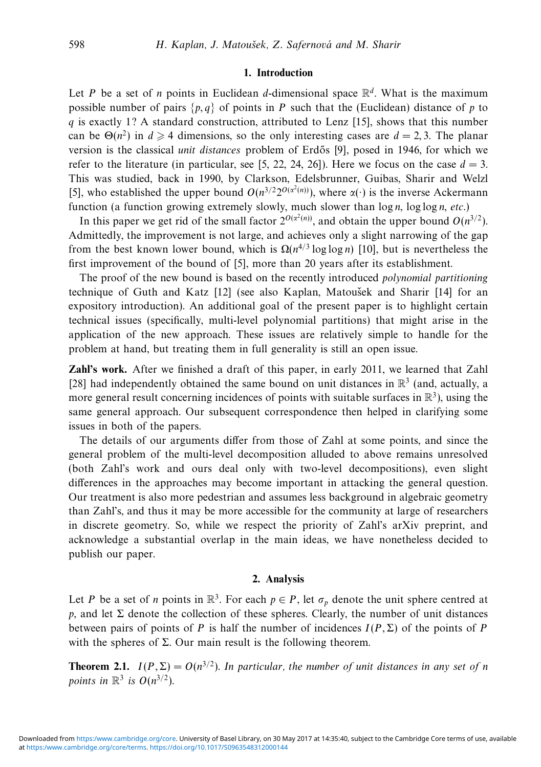#### **1. Introduction**

Let *P* be a set of *n* points in Euclidean *d*-dimensional space  $\mathbb{R}^d$ . What is the maximum possible number of pairs  $\{p,q\}$  of points in *P* such that the (Euclidean) distance of *p* to *q* is exactly 1? A standard construction, attributed to Lenz [15], shows that this number can be  $\Theta(n^2)$  in  $d \ge 4$  dimensions, so the only interesting cases are  $d = 2, 3$ . The planar version is the classical *unit distances* problem of Erdős [9], posed in 1946, for which we refer to the literature (in particular, see [5, 22, 24, 26]). Here we focus on the case  $d = 3$ . This was studied, back in 1990, by Clarkson, Edelsbrunner, Guibas, Sharir and Welzl [5], who established the upper bound  $O(n^{3/2}2^{O(\alpha^2(n))})$ , where  $\alpha(\cdot)$  is the inverse Ackermann function (a function growing extremely slowly, much slower than  $\log n$ ,  $\log \log n$ , *etc.*)

In this paper we get rid of the small factor  $2^{O(\alpha^2(n))}$ , and obtain the upper bound  $O(n^{3/2})$ . Admittedly, the improvement is not large, and achieves only a slight narrowing of the gap from the best known lower bound, which is  $\Omega(n^{4/3} \log \log n)$  [10], but is nevertheless the first improvement of the bound of [5], more than 20 years after its establishment.

The proof of the new bound is based on the recently introduced *polynomial partitioning* technique of Guth and Katz  $[12]$  (see also Kaplan, Matousek and Sharir  $[14]$  for an expository introduction). An additional goal of the present paper is to highlight certain technical issues (specifically, multi-level polynomial partitions) that might arise in the application of the new approach. These issues are relatively simple to handle for the problem at hand, but treating them in full generality is still an open issue.

**Zahl's work.** After we finished a draft of this paper, in early 2011, we learned that Zahl [28] had independently obtained the same bound on unit distances in  $\mathbb{R}^3$  (and, actually, a more general result concerning incidences of points with suitable surfaces in  $\mathbb{R}^3$ ), using the same general approach. Our subsequent correspondence then helped in clarifying some issues in both of the papers.

The details of our arguments differ from those of Zahl at some points, and since the general problem of the multi-level decomposition alluded to above remains unresolved (both Zahl's work and ours deal only with two-level decompositions), even slight differences in the approaches may become important in attacking the general question. Our treatment is also more pedestrian and assumes less background in algebraic geometry than Zahl's, and thus it may be more accessible for the community at large of researchers in discrete geometry. So, while we respect the priority of Zahl's arXiv preprint, and acknowledge a substantial overlap in the main ideas, we have nonetheless decided to publish our paper.

### **2. Analysis**

Let *P* be a set of *n* points in  $\mathbb{R}^3$ . For each  $p \in P$ , let  $\sigma_p$  denote the unit sphere centred at *p*, and let  $\Sigma$  denote the collection of these spheres. Clearly, the number of unit distances between pairs of points of *P* is half the number of incidences  $I(P, \Sigma)$  of the points of *P* with the spheres of  $\Sigma$ . Our main result is the following theorem.

**Theorem 2.1.**  $I(P, \Sigma) = O(n^{3/2})$ . In particular, the number of unit distances in any set of *n points in*  $\mathbb{R}^3$  *is*  $O(n^{3/2})$ *.*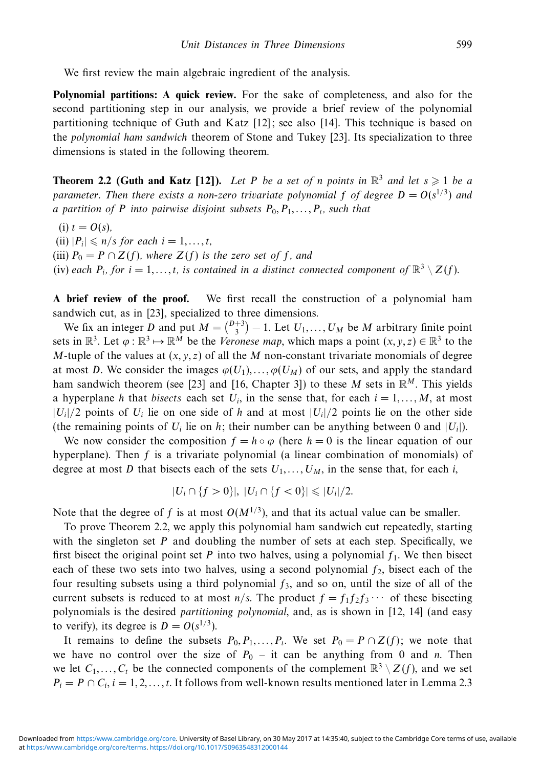We first review the main algebraic ingredient of the analysis.

**Polynomial partitions: A quick review.** For the sake of completeness, and also for the second partitioning step in our analysis, we provide a brief review of the polynomial partitioning technique of Guth and Katz [12]; see also [14]. This technique is based on the polynomial ham sandwich theorem of Stone and Tukey [23]. Its specialization to three dimensions is stated in the following theorem.

**Theorem 2.2 (Guth and Katz [12]).** Let *P* be a set of *n* points in  $\mathbb{R}^3$  and let  $s \geq 1$  be a parameter. Then there exists a non-zero trivariate polynomial f of degree  $D = O(s^{1/3})$  and a partition of P into pairwise disjoint subsets  $P_0, P_1, \ldots, P_t$ , such that

- $(i) t = O(s)$ ,
- (ii)  $|P_i| \leq n/s$  for each  $i = 1, \ldots, t$ ,
- (iii)  $P_0 = P \cap Z(f)$ , where  $Z(f)$  is the zero set of f, and
- (iv) each  $P_i$ , for  $i = 1, ..., t$ , is contained in a distinct connected component of  $\mathbb{R}^3 \setminus Z(f)$ .

**A brief review of the proof.** We first recall the construction of a polynomial ham sandwich cut, as in [23], specialized to three dimensions.

We fix an integer *D* and put  $M = \binom{D+3}{3} - 1$ . Let  $U_1, \ldots, U_M$  be *M* arbitrary finite point sets in  $\mathbb{R}^3$ . Let  $\varphi : \mathbb{R}^3 \mapsto \mathbb{R}^M$  be the *Veronese map*, which maps a point  $(x, y, z) \in \mathbb{R}^3$  to the *M*-tuple of the values at  $(x, y, z)$  of all the *M* non-constant trivariate monomials of degree at most *D*. We consider the images  $\varphi(U_1), \ldots, \varphi(U_M)$  of our sets, and apply the standard ham sandwich theorem (see [23] and [16, Chapter 3]) to these *M* sets in  $\mathbb{R}^M$ . This yields a hyperplane *h* that bisects each set  $U_i$ , in the sense that, for each  $i = 1, \ldots, M$ , at most  $|U_i|/2$  points of  $U_i$  lie on one side of h and at most  $|U_i|/2$  points lie on the other side (the remaining points of  $U_i$  lie on *h*; their number can be anything between 0 and  $|U_i|$ ).

We now consider the composition  $f = h \circ \varphi$  (here  $h = 0$  is the linear equation of our hyperplane). Then *f* is a trivariate polynomial (a linear combination of monomials) of degree at most *D* that bisects each of the sets  $U_1, \ldots, U_M$ , in the sense that, for each *i*,

$$
|U_i \cap \{f > 0\}|, |U_i \cap \{f < 0\}| \leq |U_i|/2.
$$

Note that the degree of f is at most  $O(M^{1/3})$ , and that its actual value can be smaller.

To prove Theorem 2.2, we apply this polynomial ham sandwich cut repeatedly, starting with the singleton set  $P$  and doubling the number of sets at each step. Specifically, we first bisect the original point set *P* into two halves, using a polynomial *f*1. We then bisect each of these two sets into two halves, using a second polynomial  $f_2$ , bisect each of the four resulting subsets using a third polynomial *f*3, and so on, until the size of all of the current subsets is reduced to at most  $n/s$ . The product  $f = f_1 f_2 f_3 \cdots$  of these bisecting polynomials is the desired partitioning polynomial, and, as is shown in [12, 14] (and easy to verify), its degree is  $D = O(s^{1/3})$ .

It remains to define the subsets  $P_0, P_1, \ldots, P_t$ . We set  $P_0 = P \cap Z(f)$ ; we note that we have no control over the size of  $P_0$  – it can be anything from 0 and *n*. Then we let  $C_1, \ldots, C_t$  be the connected components of the complement  $\mathbb{R}^3 \setminus Z(f)$ , and we set  $P_i = P \cap C_i$ ,  $i = 1, 2, \ldots, t$ . It follows from well-known results mentioned later in Lemma 2.3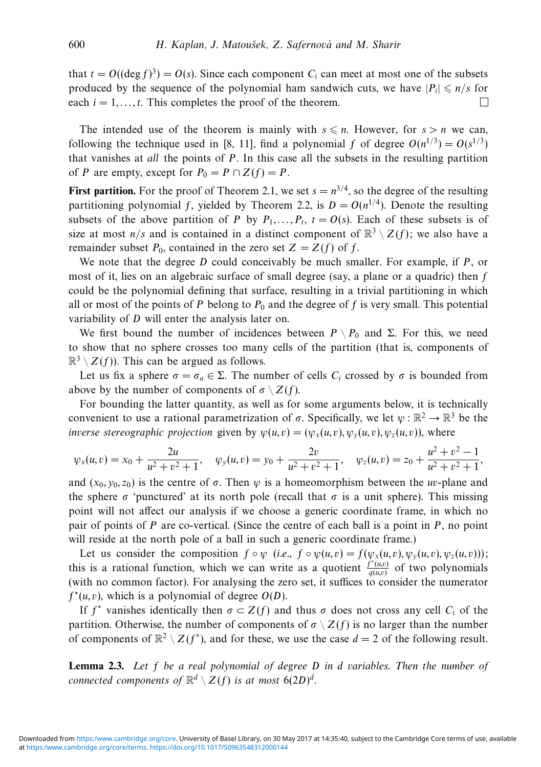that  $t = O((\deg f)^3) = O(s)$ . Since each component  $C_i$  can meet at most one of the subsets produced by the sequence of the polynomial ham sandwich cuts, we have  $|P_i| \le n/s$  for each  $i = 1, \ldots, t$ . This completes the proof of the theorem.  $\Box$ 

The intended use of the theorem is mainly with  $s \leq n$ . However, for  $s > n$  we can, following the technique used in [8, 11], find a polynomial *f* of degree  $O(n^{1/3}) = O(s^{1/3})$ that vanishes at all the points of *P*. In this case all the subsets in the resulting partition of *P* are empty, except for  $P_0 = P \cap Z(f) = P$ .

**First partition.** For the proof of Theorem 2.1, we set  $s = n^{3/4}$ , so the degree of the resulting partitioning polynomial *f*, yielded by Theorem 2.2, is  $D = O(n^{1/4})$ . Denote the resulting subsets of the above partition of *P* by  $P_1, \ldots, P_t$ ,  $t = O(s)$ . Each of these subsets is of size at most  $n/s$  and is contained in a distinct component of  $\mathbb{R}^3 \setminus Z(f)$ ; we also have a remainder subset  $P_0$ , contained in the zero set  $Z = Z(f)$  of f.

We note that the degree *D* could conceivably be much smaller. For example, if *P*, or most of it, lies on an algebraic surface of small degree (say, a plane or a quadric) then *f* could be the polynomial defining that surface, resulting in a trivial partitioning in which all or most of the points of *P* belong to  $P_0$  and the degree of *f* is very small. This potential variability of *D* will enter the analysis later on.

We first bound the number of incidences between  $P \setminus P_0$  and  $\Sigma$ . For this, we need to show that no sphere crosses too many cells of the partition (that is, components of  $\mathbb{R}^3 \setminus Z(f)$ ). This can be argued as follows.

Let us fix a sphere *σ* = *σ<sub>a</sub>* ∈ Σ. The number of cells *C<sub>i</sub>* crossed by *σ* is bounded from above by the number of components of  $\sigma \setminus Z(f)$ .

For bounding the latter quantity, as well as for some arguments below, it is technically convenient to use a rational parametrization of  $\sigma$ . Specifically, we let  $\psi : \mathbb{R}^2 \to \mathbb{R}^3$  be the inverse stereographic projection given by  $\psi(u, v) = (\psi_x(u, v), \psi_y(u, v), \psi_z(u, v))$ , where

$$
\psi_x(u,v) = x_0 + \frac{2u}{u^2 + v^2 + 1}, \quad \psi_y(u,v) = y_0 + \frac{2v}{u^2 + v^2 + 1}, \quad \psi_z(u,v) = z_0 + \frac{u^2 + v^2 - 1}{u^2 + v^2 + 1},
$$

and  $(x_0, y_0, z_0)$  is the centre of  $\sigma$ . Then  $\psi$  is a homeomorphism between the *uv*-plane and the sphere  $\sigma$  'punctured' at its north pole (recall that  $\sigma$  is a unit sphere). This missing point will not affect our analysis if we choose a generic coordinate frame, in which no pair of points of *P* are co-vertical. (Since the centre of each ball is a point in *P*, no point will reside at the north pole of a ball in such a generic coordinate frame.)

Let us consider the composition  $f \circ \psi$  (i.e.,  $f \circ \psi(u, v) = f(\psi_x(u, v), \psi_y(u, v), \psi_z(u, v))$ ); this is a rational function, which we can write as a quotient  $\frac{f^*(u,v)}{q(u,v)}$  of two polynomials (with no common factor). For analysing the zero set, it suffices to consider the numerator  $f^*(u, v)$ , which is a polynomial of degree  $O(D)$ .

If  $f^*$  vanishes identically then  $\sigma \subset Z(f)$  and thus  $\sigma$  does not cross any cell  $C_i$  of the partition. Otherwise, the number of components of  $\sigma \setminus Z(f)$  is no larger than the number of components of  $\mathbb{R}^2 \setminus Z(f^*)$ , and for these, we use the case  $d = 2$  of the following result.

**Lemma 2.3.** Let *f* be a real polynomial of degree *D* in *d* variables. Then the number of connected components of  $\mathbb{R}^d\setminus \mathsf{Z}(f)$  is at most  $6(2D)^d$ .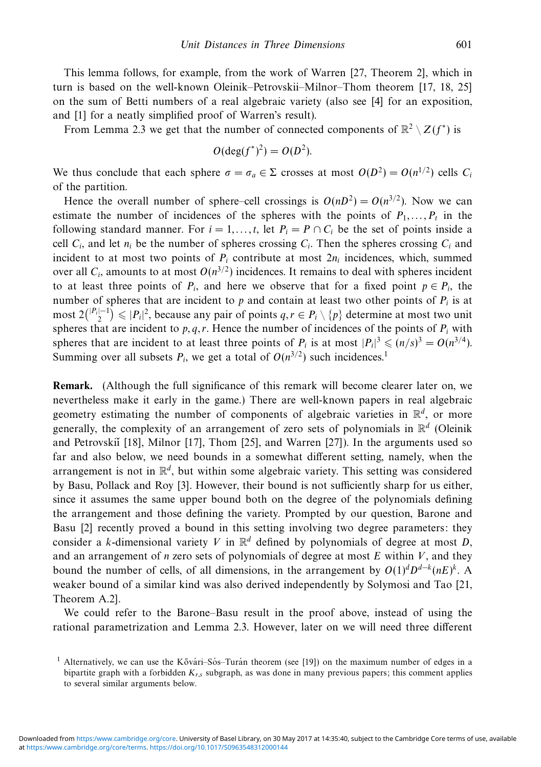This lemma follows, for example, from the work of Warren [27, Theorem 2], which in turn is based on the well-known Oleinik–Petrovskii–Milnor–Thom theorem [17, 18, 25] on the sum of Betti numbers of a real algebraic variety (also see [4] for an exposition, and [1] for a neatly simplified proof of Warren's result).

From Lemma 2.3 we get that the number of connected components of  $\mathbb{R}^2 \setminus Z(f^*)$  is

$$
O(\deg(f^*)^2) = O(D^2).
$$

We thus conclude that each sphere  $\sigma = \sigma_a \in \Sigma$  crosses at most  $O(D^2) = O(n^{1/2})$  cells  $C_i$ of the partition.

Hence the overall number of sphere–cell crossings is  $O(nD^2) = O(n^{3/2})$ . Now we can estimate the number of incidences of the spheres with the points of  $P_1, \ldots, P_t$  in the following standard manner. For  $i = 1, \ldots, t$ , let  $P_i = P \cap C_i$  be the set of points inside a cell  $C_i$ , and let  $n_i$  be the number of spheres crossing  $C_i$ . Then the spheres crossing  $C_i$  and incident to at most two points of  $P_i$  contribute at most  $2n_i$  incidences, which, summed over all  $C_i$ , amounts to at most  $O(n^{3/2})$  incidences. It remains to deal with spheres incident to at least three points of  $P_i$ , and here we observe that for a fixed point  $p \in P_i$ , the number of spheres that are incident to  $p$  and contain at least two other points of  $P_i$  is at  $\text{most } 2\binom{|P_i|-1}{2}$  ≤  $|P_i|^2$ , because any pair of points  $q, r ∈ P_i \setminus \{p\}$  determine at most two unit spheres that are incident to  $p, q, r$ . Hence the number of incidences of the points of  $P_i$  with spheres that are incident to at least three points of  $P_i$  is at most  $|P_i|^3 \leq (n/s)^3 = O(n^{3/4})$ . Summing over all subsets  $P_i$ , we get a total of  $O(n^{3/2})$  such incidences.<sup>1</sup>

**Remark.** (Although the full significance of this remark will become clearer later on, we nevertheless make it early in the game.) There are well-known papers in real algebraic geometry estimating the number of components of algebraic varieties in  $\mathbb{R}^d$ , or more generally, the complexity of an arrangement of zero sets of polynomials in  $\mathbb{R}^d$  (Oleinik and Petrovskiı̃ [18], Milnor [17], Thom [25], and Warren [27]). In the arguments used so far and also below, we need bounds in a somewhat different setting, namely, when the arrangement is not in  $\mathbb{R}^d$ , but within some algebraic variety. This setting was considered by Basu, Pollack and Roy [3]. However, their bound is not sufficiently sharp for us either, since it assumes the same upper bound both on the degree of the polynomials defining the arrangement and those defining the variety. Prompted by our question, Barone and Basu [2] recently proved a bound in this setting involving two degree parameters: they consider a *k*-dimensional variety *V* in  $\mathbb{R}^d$  defined by polynomials of degree at most *D*, and an arrangement of *n* zero sets of polynomials of degree at most *E* within *V*, and they bound the number of cells, of all dimensions, in the arrangement by  $O(1)^d D^{d-k} (nE)^k$ . A weaker bound of a similar kind was also derived independently by Solymosi and Tao [21, Theorem A.2].

We could refer to the Barone–Basu result in the proof above, instead of using the rational parametrization and Lemma 2.3. However, later on we will need three different

<sup>&</sup>lt;sup>1</sup> Alternatively, we can use the Kővári–Sós–Turán theorem (see [19]) on the maximum number of edges in a bipartite graph with a forbidden *Kr,s* subgraph, as was done in many previous papers; this comment applies to several similar arguments below.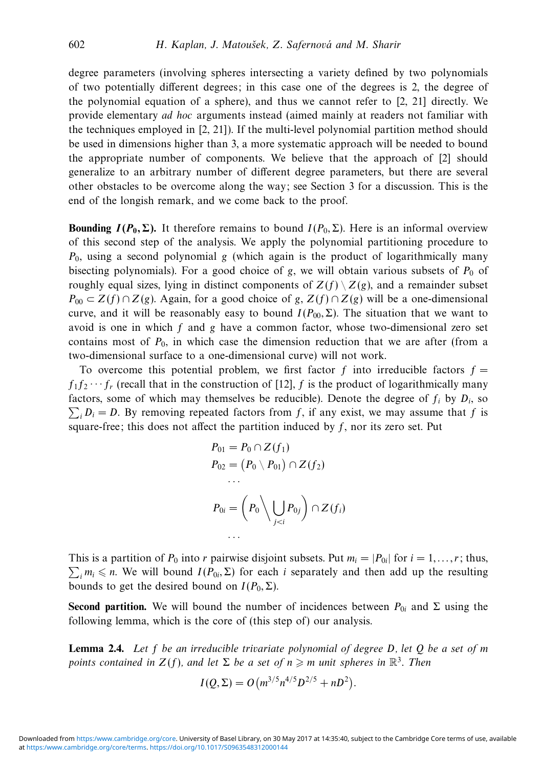degree parameters (involving spheres intersecting a variety defined by two polynomials of two potentially different degrees; in this case one of the degrees is 2, the degree of the polynomial equation of a sphere), and thus we cannot refer to [2, 21] directly. We provide elementary ad hoc arguments instead (aimed mainly at readers not familiar with the techniques employed in [2, 21]). If the multi-level polynomial partition method should be used in dimensions higher than 3, a more systematic approach will be needed to bound the appropriate number of components. We believe that the approach of [2] should generalize to an arbitrary number of different degree parameters, but there are several other obstacles to be overcome along the way; see Section 3 for a discussion. This is the end of the longish remark, and we come back to the proof.

**Bounding** *I*(*P*<sub>0</sub>, Σ). It therefore remains to bound *I*(*P*<sub>0</sub>, Σ). Here is an informal overview of this second step of the analysis. We apply the polynomial partitioning procedure to *P*0, using a second polynomial *g* (which again is the product of logarithmically many bisecting polynomials). For a good choice of  $g$ , we will obtain various subsets of  $P_0$  of roughly equal sizes, lying in distinct components of  $Z(f) \setminus Z(g)$ , and a remainder subset  $P_{00} \subset Z(f) \cap Z(g)$ . Again, for a good choice of *g*,  $Z(f) \cap Z(g)$  will be a one-dimensional curve, and it will be reasonably easy to bound  $I(P_{00}, \Sigma)$ . The situation that we want to avoid is one in which *f* and *g* have a common factor, whose two-dimensional zero set contains most of  $P_0$ , in which case the dimension reduction that we are after (from a two-dimensional surface to a one-dimensional curve) will not work.

To overcome this potential problem, we first factor f into irreducible factors  $f =$  $f_1 f_2 \cdots f_r$  (recall that in the construction of [12], *f* is the product of logarithmically many factors, some of which may themselves be reducible). Denote the degree of  $f_i$  by  $D_i$ , so  $\sum_i D_i = D$ . By removing repeated factors from *f*, if any exist, we may assume that *f* is square-free; this does not affect the partition induced by *f*, nor its zero set. Put

$$
P_{01} = P_0 \cap Z(f_1)
$$
  
\n
$$
P_{02} = (P_0 \setminus P_{01}) \cap Z(f_2)
$$
  
\n...  
\n
$$
P_{0i} = (P_0 \setminus \bigcup_{j < i} P_{0j}) \cap Z(f_i)
$$
  
\n...

This is a partition of  $P_0$  into *r* pairwise disjoint subsets. Put  $m_i = |P_{0i}|$  for  $i = 1, \ldots, r$ ; thus,  $\sum_i m_i \leq n$ . We will bound *I*( $P_{0i}$ ,  $\Sigma$ ) for each *i* separately and then add up the resulting bounds to get the desired bound on  $I(P_0, Σ)$ .

**Second partition.** We will bound the number of incidences between  $P_{0i}$  and  $\Sigma$  using the following lemma, which is the core of (this step of) our analysis.

**Lemma 2.4.** Let *f* be an irreducible trivariate polynomial of degree *D*, let *Q* be a set of *m* points contained in  $Z(f)$ , and let  $\Sigma$  be a set of  $n \geq m$  unit spheres in  $\mathbb{R}^3$ . Then

$$
I(Q, \Sigma) = O(m^{3/5}n^{4/5}D^{2/5} + nD^2).
$$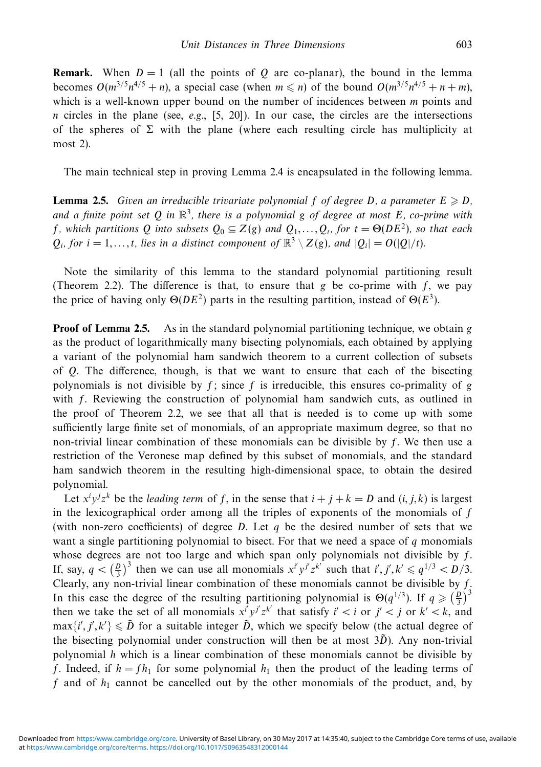**Remark.** When  $D = 1$  (all the points of *Q* are co-planar), the bound in the lemma becomes  $O(m^{3/5}n^{4/5} + n)$ , a special case (when  $m \le n$ ) of the bound  $O(m^{3/5}n^{4/5} + n + m)$ , which is a well-known upper bound on the number of incidences between *m* points and *n* circles in the plane (see, *e.g.*,  $[5, 20]$ ). In our case, the circles are the intersections of the spheres of  $\Sigma$  with the plane (where each resulting circle has multiplicity at most 2).

The main technical step in proving Lemma 2.4 is encapsulated in the following lemma.

**Lemma 2.5.** Given an irreducible trivariate polynomial  $f$  of degree D, a parameter  $E \geqslant D$ , and a finite point set Q in  $\mathbb{R}^3$ , there is a polynomial g of degree at most *E*, co-prime with *f*, which partitions *Q* into subsets  $Q_0 \subseteq Z(g)$  and  $Q_1, \ldots, Q_t$ , for  $t = \Theta(DE^2)$ , so that each  $Q_i$ , for  $i = 1, \ldots, t$ , lies in a distinct component of  $\mathbb{R}^3 \setminus Z(g)$ , and  $|Q_i| = O(|Q|/t)$ .

Note the similarity of this lemma to the standard polynomial partitioning result (Theorem 2.2). The difference is that, to ensure that  $g$  be co-prime with  $f$ , we pay the price of having only  $\Theta(DE^2)$  parts in the resulting partition, instead of  $\Theta(E^3)$ .

**Proof of Lemma 2.5.** As in the standard polynomial partitioning technique, we obtain *g* as the product of logarithmically many bisecting polynomials, each obtained by applying a variant of the polynomial ham sandwich theorem to a current collection of subsets of *Q*. The difference, though, is that we want to ensure that each of the bisecting polynomials is not divisible by  $f$ ; since  $f$  is irreducible, this ensures co-primality of  $g$ with *f*. Reviewing the construction of polynomial ham sandwich cuts, as outlined in the proof of Theorem 2.2, we see that all that is needed is to come up with some sufficiently large finite set of monomials, of an appropriate maximum degree, so that no non-trivial linear combination of these monomials can be divisible by *f*. We then use a restriction of the Veronese map defined by this subset of monomials, and the standard ham sandwich theorem in the resulting high-dimensional space, to obtain the desired polynomial.

Let  $x^i y^j z^k$  be the leading term of f, in the sense that  $i + j + k = D$  and  $(i, j, k)$  is largest in the lexicographical order among all the triples of exponents of the monomials of *f* (with non-zero coefficients) of degree *D*. Let  $q$  be the desired number of sets that we want a single partitioning polynomial to bisect. For that we need a space of *q* monomials whose degrees are not too large and which span only polynomials not divisible by *f*. If, say,  $q < \left(\frac{D}{3}\right)^3$  then we can use all monomials  $x^i y^j z^{k'}$  such that  $i', j', k' \leqslant q^{1/3} < D/3$ . Clearly, any non-trivial linear combination of these monomials cannot be divisible by *f*. In this case the degree of the resulting partitioning polynomial is  $\Theta(q^{1/3})$ . If  $q \geq (\frac{p}{3})^3$ then we take the set of all monomials  $x^{i}y^{j}z^{k'}$  that satisfy  $i' < i$  or  $j' < j$  or  $k' < k$ , and  $\max\{i', j', k'\} \leq \tilde{D}$  for a suitable integer  $\tilde{D}$ , which we specify below (the actual degree of the bisecting polynomial under construction will then be at most  $3\tilde{D}$ ). Any non-trivial polynomial *h* which is a linear combination of these monomials cannot be divisible by *f*. Indeed, if  $h = f h_1$  for some polynomial  $h_1$  then the product of the leading terms of *f* and of  $h_1$  cannot be cancelled out by the other monomials of the product, and, by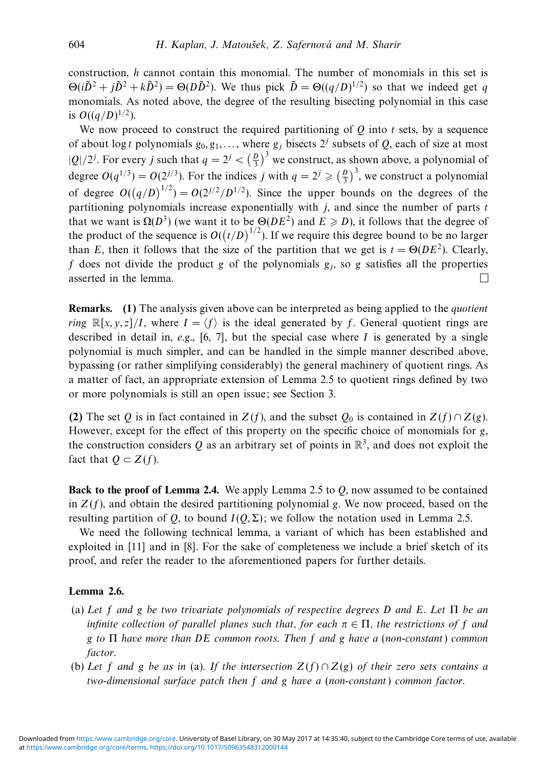construction, *h* cannot contain this monomial. The number of monomials in this set is  $\Theta(i\tilde{D}^2 + j\tilde{D}^2 + k\tilde{D}^2) = \Theta(D\tilde{D}^2)$ . We thus pick  $\tilde{D} = \Theta((q/D)^{1/2})$  so that we indeed get *q* monomials. As noted above, the degree of the resulting bisecting polynomial in this case is  $O((q/D)^{1/2})$ .

We now proceed to construct the required partitioning of  $Q$  into  $t$  sets, by a sequence of about log *t* polynomials  $g_0, g_1, \ldots$ , where  $g_j$  bisects  $2^j$  subsets of  $Q$ , each of size at most  $|Q|/2^j$ . For every *j* such that  $q = 2^j < (\frac{D}{3})^3$  we construct, as shown above, a polynomial of degree  $O(q^{1/3}) = O(2^{j/3})$ . For the indices *j* with  $q = 2^j \geq (\frac{D}{3})^3$ , we construct a polynomial of degree  $O((q/D)^{1/2}) = O(2^{j/2}/D^{1/2})$ . Since the upper bounds on the degrees of the partitioning polynomials increase exponentially with *j*, and since the number of parts *t* that we want is  $\Omega(D^3)$  (we want it to be  $\Theta(DE^2)$  and  $E \ge D$ ), it follows that the degree of the product of the sequence is  $O((t/D)^{1/2})$ . If we require this degree bound to be no larger than *E*, then it follows that the size of the partition that we get is  $t = \Theta(DE^2)$ . Clearly, *f* does not divide the product *g* of the polynomials *gj*, so *g* satisfies all the properties asserted in the lemma.  $\Box$ 

**Remarks. (1)** The analysis given above can be interpreted as being applied to the quotient ring  $\mathbb{R}[x, y, z]/I$ , where  $I = \langle f \rangle$  is the ideal generated by f. General quotient rings are described in detail in, e.g., [6, 7], but the special case where *I* is generated by a single polynomial is much simpler, and can be handled in the simple manner described above, bypassing (or rather simplifying considerably) the general machinery of quotient rings. As a matter of fact, an appropriate extension of Lemma 2.5 to quotient rings defined by two or more polynomials is still an open issue; see Section 3.

**(2)** The set *Q* is in fact contained in *Z*(*f*), and the subset  $Q_0$  is contained in *Z*(*f*) ∩ *Z*(*g*). However, except for the effect of this property on the specific choice of monomials for *g*, the construction considers  $Q$  as an arbitrary set of points in  $\mathbb{R}^3$ , and does not exploit the fact that  $Q \subset Z(f)$ .

**Back to the proof of Lemma 2.4.** We apply Lemma 2.5 to *Q*, now assumed to be contained in  $Z(f)$ , and obtain the desired partitioning polynomial *g*. We now proceed, based on the resulting partition of *Q*, to bound  $I(Q, \Sigma)$ ; we follow the notation used in Lemma 2.5.

We need the following technical lemma, a variant of which has been established and exploited in [11] and in [8]. For the sake of completeness we include a brief sketch of its proof, and refer the reader to the aforementioned papers for further details.

#### **Lemma 2.6.**

- (a) Let *f* and *g* be two trivariate polynomials of respective degrees *D* and *E*. Let Π be an infinite collection of parallel planes such that, for each  $\pi \in \Pi$ , the restrictions of f and *g* to Π have more than *DE* common roots. Then *f* and *g* have a (non-constant) common factor.
- (b) Let *f* and *g* be as in (a). If the intersection  $Z(f) \cap Z(g)$  of their zero sets contains a two-dimensional surface patch then *f* and *g* have a (non-constant) common factor.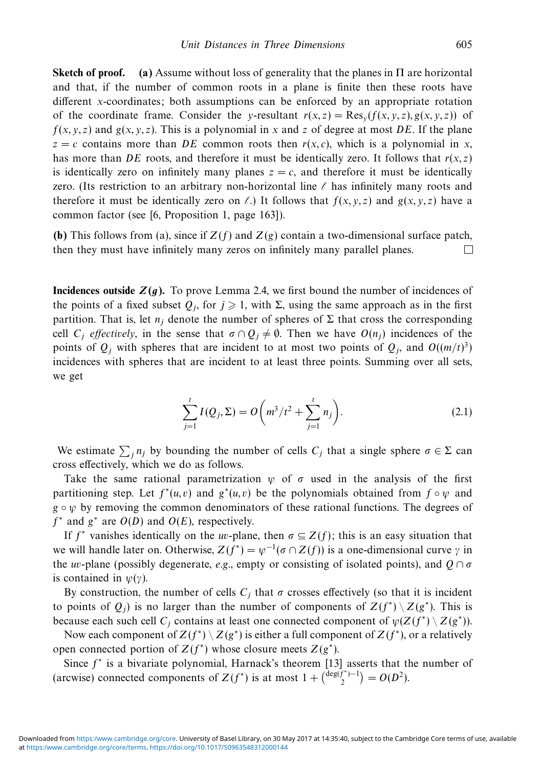**Sketch of proof.** (a) Assume without loss of generality that the planes in  $\Pi$  are horizontal and that, if the number of common roots in a plane is finite then these roots have different *x*-coordinates; both assumptions can be enforced by an appropriate rotation of the coordinate frame. Consider the *y*-resultant  $r(x, z) = \text{Res}_y(f(x, y, z), g(x, y, z))$  of  $f(x, y, z)$  and  $g(x, y, z)$ . This is a polynomial in *x* and *z* of degree at most *DE*. If the plane  $z = c$  contains more than *DE* common roots then  $r(x, c)$ , which is a polynomial in *x*, has more than *DE* roots, and therefore it must be identically zero. It follows that  $r(x, z)$ is identically zero on infinitely many planes  $z = c$ , and therefore it must be identically zero. (Its restriction to an arbitrary non-horizontal line  $\ell$  has infinitely many roots and therefore it must be identically zero on  $\ell$ .) It follows that  $f(x, y, z)$  and  $g(x, y, z)$  have a common factor (see [6, Proposition 1, page 163]).

**(b)** This follows from (a), since if  $Z(f)$  and  $Z(g)$  contain a two-dimensional surface patch, then they must have infinitely many zeros on infinitely many parallel planes. П

**Incidences outside** *Z***(***g***).** To prove Lemma 2.4, we first bound the number of incidences of the points of a fixed subset  $Q_j$ , for  $j \geq 1$ , with  $\Sigma$ , using the same approach as in the first partition. That is, let  $n_j$  denote the number of spheres of Σ that cross the corresponding cell *C<sub>j</sub>* effectively, in the sense that  $\sigma \cap Q_j \neq \emptyset$ . Then we have  $O(n_j)$  incidences of the points of  $Q_j$  with spheres that are incident to at most two points of  $Q_j$ , and  $O((m/t)^3)$ incidences with spheres that are incident to at least three points. Summing over all sets, we get

$$
\sum_{j=1}^{t} I(Q_j, \Sigma) = O\left(m^3 / t^2 + \sum_{j=1}^{t} n_j\right).
$$
 (2.1)

We estimate  $\sum_j n_j$  by bounding the number of cells  $C_j$  that a single sphere  $\sigma \in \Sigma$  can cross effectively, which we do as follows.

Take the same rational parametrization  $\psi$  of  $\sigma$  used in the analysis of the first partitioning step. Let  $f^*(u, v)$  and  $g^*(u, v)$  be the polynomials obtained from  $f \circ \psi$  and  $g \circ \psi$  by removing the common denominators of these rational functions. The degrees of  $f^*$  and  $g^*$  are  $O(D)$  and  $O(E)$ , respectively.

If  $f^*$  vanishes identically on the *uv*-plane, then  $\sigma \subseteq Z(f)$ ; this is an easy situation that we will handle later on. Otherwise,  $Z(f^*) = \psi^{-1}(\sigma \cap Z(f))$  is a one-dimensional curve  $\gamma$  in the *uv*-plane (possibly degenerate, e.g., empty or consisting of isolated points), and *Q* ∩ *σ* is contained in *ψ*(*γ*).

By construction, the number of cells  $C_j$  that  $\sigma$  crosses effectively (so that it is incident to points of  $Q_i$ ) is no larger than the number of components of  $Z(f^*) \setminus Z(g^*)$ . This is because each such cell  $C_i$  contains at least one connected component of  $\psi(Z(f^*) \setminus Z(g^*))$ .

Now each component of  $Z(f^*) \setminus Z(g^*)$  is either a full component of  $Z(f^*)$ , or a relatively open connected portion of  $Z(f^*)$  whose closure meets  $Z(g^*)$ .

Since *f*<sup>∗</sup> is a bivariate polynomial, Harnack's theorem [13] asserts that the number of (arcwise) connected components of  $Z(f^*)$  is at most  $1 + {deg(f^*)-1 \choose 2} = O(D^2)$ .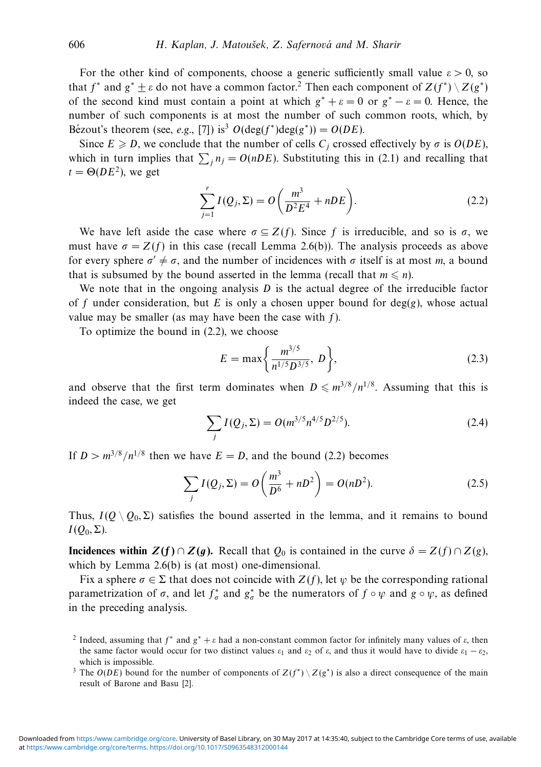For the other kind of components, choose a generic sufficiently small value  $\varepsilon > 0$ , so that *f*<sup>\*</sup> and  $g^* \pm \varepsilon$  do not have a common factor.<sup>2</sup> Then each component of  $Z(f^*) \setminus Z(g^*)$ of the second kind must contain a point at which  $g^* + \varepsilon = 0$  or  $g^* - \varepsilon = 0$ . Hence, the number of such components is at most the number of such common roots, which, by Bézout's theorem (see, e.g., [7]) is<sup>3</sup>  $O(\deg(f^*)\deg(g^*)) = O(DE)$ .

Since  $E \ge D$ , we conclude that the number of cells  $C_j$  crossed effectively by  $\sigma$  is  $O(DE)$ , which in turn implies that  $\sum_j n_j = O(nDE)$ . Substituting this in (2.1) and recalling that  $t = \Theta(DE^2)$ , we get

$$
\sum_{j=1}^{r} I(Q_j, \Sigma) = O\left(\frac{m^3}{D^2 E^4} + nDE\right).
$$
 (2.2)

We have left aside the case where  $\sigma \subseteq Z(f)$ . Since f is irreducible, and so is  $\sigma$ , we must have  $\sigma = Z(f)$  in this case (recall Lemma 2.6(b)). The analysis proceeds as above for every sphere  $\sigma' \neq \sigma$ , and the number of incidences with  $\sigma$  itself is at most *m*, a bound that is subsumed by the bound asserted in the lemma (recall that  $m \le n$ ).

We note that in the ongoing analysis  $D$  is the actual degree of the irreducible factor of f under consideration, but E is only a chosen upper bound for  $deg(g)$ , whose actual value may be smaller (as may have been the case with *f*).

To optimize the bound in (2.2), we choose

$$
E = \max\left\{\frac{m^{3/5}}{n^{1/5}D^{3/5}}, D\right\},\tag{2.3}
$$

and observe that the first term dominates when  $D \leq m^{3/8}/n^{1/8}$ . Assuming that this is indeed the case, we get

$$
\sum_{j} I(Q_j, \Sigma) = O(m^{3/5} n^{4/5} D^{2/5}).
$$
\n(2.4)

If  $D > m^{3/8}/n^{1/8}$  then we have  $E = D$ , and the bound (2.2) becomes

$$
\sum_{j} I(Q_j, \Sigma) = O\left(\frac{m^3}{D^6} + nD^2\right) = O(nD^2).
$$
 (2.5)

Thus,  $I(Q \setminus Q_0, \Sigma)$  satisfies the bound asserted in the lemma, and it remains to bound  $I(Q_0, \Sigma)$ .

**Incidences within** *Z***(***f***) ∩** *Z***(***g***).** Recall that *Q*<sup>0</sup> is contained in the curve *δ* = *Z*(*f*) ∩ *Z*(*g*), which by Lemma 2.6(b) is (at most) one-dimensional.

Fix a sphere  $\sigma \in \Sigma$  that does not coincide with  $Z(f)$ , let  $\psi$  be the corresponding rational parametrization of  $\sigma$ , and let  $f^*_{\sigma}$  and  $g^*_{\sigma}$  be the numerators of  $f \circ \psi$  and  $g \circ \psi$ , as defined in the preceding analysis.

- <sup>2</sup> Indeed, assuming that *f*<sup>∗</sup> and *g*<sup>∗</sup> + *ε* had a non-constant common factor for infinitely many values of *ε*, then the same factor would occur for two distinct values  $\varepsilon_1$  and  $\varepsilon_2$  of  $\varepsilon$ , and thus it would have to divide  $\varepsilon_1 - \varepsilon_2$ , which is impossible.
- <sup>3</sup> The  $O(DE)$  bound for the number of components of  $Z(f^*) \setminus Z(g^*)$  is also a direct consequence of the main result of Barone and Basu [2].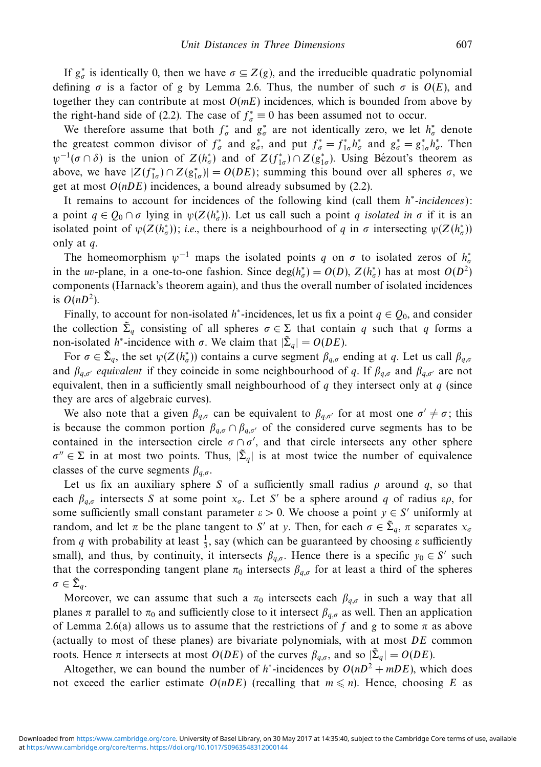If  $g^*_{\sigma}$  is identically 0, then we have  $\sigma \subseteq Z(g)$ , and the irreducible quadratic polynomial defining  $\sigma$  is a factor of *g* by Lemma 2.6. Thus, the number of such  $\sigma$  is  $O(E)$ , and together they can contribute at most  $O(mE)$  incidences, which is bounded from above by the right-hand side of (2.2). The case of  $f^*_{\sigma} \equiv 0$  has been assumed not to occur.

We therefore assume that both  $f^*_{\sigma}$  and  $g^*_{\sigma}$  are not identically zero, we let  $h^*_{\sigma}$  denote the greatest common divisor of  $f^*_{\sigma}$  and  $g^*_{\sigma}$ , and put  $f^*_{\sigma} = f^*_{1\sigma}h^*_{\sigma}$  and  $g^*_{\sigma} = g^*_{1\sigma}h^*_{\sigma}$ . Then *ψ*<sup>−1</sup>(*σ* ∩ *δ*) is the union of *Z*(*h*<sup>\*</sup><sub>*d*</sub>) and of *Z*(*f*<sup>\*</sup><sub>*d*</sub>) ∩ *Z*(*g*<sup>\*</sup><sub>*d*</sub>). Using Bézout's theorem as above, we have  $|Z(f_{1\sigma}^*) \cap Z(g_{1\sigma}^*)| = O(DE)$ ; summing this bound over all spheres  $\sigma$ , we get at most  $O(nDE)$  incidences, a bound already subsumed by  $(2.2)$ .

It remains to account for incidences of the following kind (call them *h*<sup>∗</sup>-incidences): a point  $q \in Q_0 \cap \sigma$  lying in  $\psi(Z(h^*_{\sigma}))$ . Let us call such a point *q* isolated in  $\sigma$  if it is an isolated point of  $\psi(Z(h_{\sigma}^*))$ ; *i.e.*, there is a neighbourhood of *q* in  $\sigma$  intersecting  $\psi(Z(h_{\sigma}^*))$ only at *q*.

The homeomorphism  $\psi^{-1}$  maps the isolated points *q* on  $\sigma$  to isolated zeros of  $h^*_{\sigma}$ in the *uv*-plane, in a one-to-one fashion. Since  $deg(h^*_{\sigma}) = O(D), Z(h^*_{\sigma})$  has at most  $O(D^2)$ components (Harnack's theorem again), and thus the overall number of isolated incidences is  $O(nD^2)$ .

Finally, to account for non-isolated *h*<sup>∗</sup>-incidences, let us fix a point  $q \in Q_0$ , and consider the collection  $\tilde{\Sigma}_q$  consisting of all spheres  $\sigma \in \Sigma$  that contain *q* such that *q* forms a non-isolated *h*<sup>\*</sup>-incidence with *σ*. We claim that  $|\tilde{\Sigma}_q| = O(DE)$ .

For  $\sigma \in \tilde{\Sigma}_q$ , the set  $\psi(Z(h^*_{\sigma}))$  contains a curve segment  $\beta_{q,\sigma}$  ending at q. Let us call  $\beta_{q,\sigma}$ and  $\beta_{q,\sigma'}$  equivalent if they coincide in some neighbourhood of *q*. If  $\beta_{q,\sigma}$  and  $\beta_{q,\sigma'}$  are not equivalent, then in a sufficiently small neighbourhood of *q* they intersect only at *q* (since they are arcs of algebraic curves).

We also note that a given  $\beta_{q,\sigma}$  can be equivalent to  $\beta_{q,\sigma'}$  for at most one  $\sigma' \neq \sigma$ ; this is because the common portion  $\beta_{q,\sigma} \cap \beta_{q,\sigma'}$  of the considered curve segments has to be contained in the intersection circle  $\sigma \cap \sigma'$ , and that circle intersects any other sphere  $\sigma'' \in \Sigma$  in at most two points. Thus,  $|\tilde{\Sigma}_q|$  is at most twice the number of equivalence classes of the curve segments  $\beta_{a,\sigma}$ .

Let us fix an auxiliary sphere *S* of a sufficiently small radius  $\rho$  around *q*, so that each  $\beta_{q,\sigma}$  intersects *S* at some point  $x_{\sigma}$ . Let *S'* be a sphere around *q* of radius  $\epsilon \rho$ , for some sufficiently small constant parameter  $\varepsilon > 0$ . We choose a point  $y \in S'$  uniformly at random, and let  $\pi$  be the plane tangent to *S'* at *y*. Then, for each  $\sigma \in \tilde{\Sigma}_q$ ,  $\pi$  separates  $x_{\sigma}$ from *q* with probability at least  $\frac{1}{3}$ , say (which can be guaranteed by choosing *ε* sufficiently small), and thus, by continuity, it intersects  $\beta_{q,\sigma}$ . Hence there is a specific  $y_0 \in S'$  such that the corresponding tangent plane  $\pi_0$  intersects  $\beta_{q,\sigma}$  for at least a third of the spheres  $\sigma \in \tilde{\Sigma}_q$ .

Moreover, we can assume that such a  $\pi_0$  intersects each  $\beta_{q,\sigma}$  in such a way that all planes *π* parallel to  $π_0$  and sufficiently close to it intersect  $β_{q,σ}$  as well. Then an application of Lemma 2.6(a) allows us to assume that the restrictions of f and g to some  $\pi$  as above (actually to most of these planes) are bivariate polynomials, with at most *DE* common roots. Hence  $\pi$  intersects at most  $O(DE)$  of the curves  $\beta_{q,\sigma}$ , and so  $|\tilde{\Sigma}_q| = O(DE)$ .

Altogether, we can bound the number of  $h^*$ -incidences by  $O(nD^2 + mDE)$ , which does not exceed the earlier estimate  $O(nDE)$  (recalling that  $m \le n$ ). Hence, choosing *E* as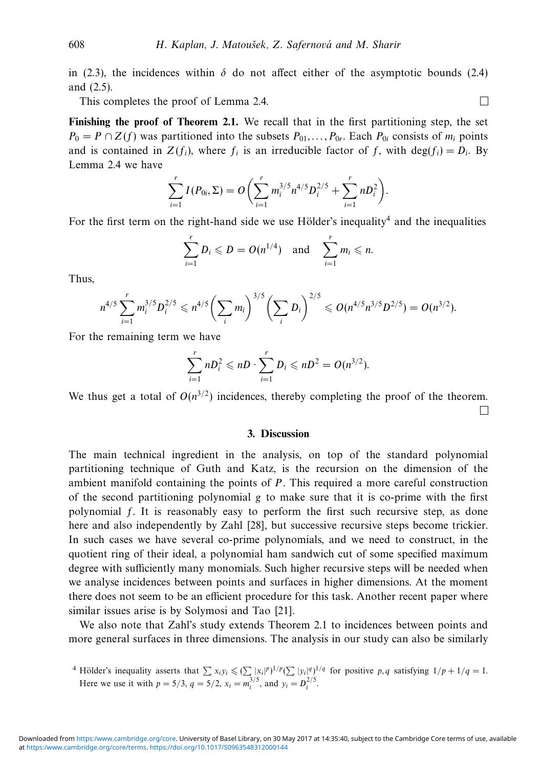in (2.3), the incidences within  $\delta$  do not affect either of the asymptotic bounds (2.4) and (2.5).

This completes the proof of Lemma 2.4.

**Finishing the proof of Theorem 2.1.** We recall that in the first partitioning step, the set  $P_0 = P \cap Z(f)$  was partitioned into the subsets  $P_{01}, \ldots, P_{0r}$ . Each  $P_{0i}$  consists of  $m_i$  points and is contained in  $Z(f_i)$ , where  $f_i$  is an irreducible factor of f, with deg( $f_i$ ) =  $D_i$ . By Lemma 2.4 we have

$$
\sum_{i=1}^r I(P_{0i}, \Sigma) = O\bigg(\sum_{i=1}^r m_i^{3/5} n^{4/5} D_i^{2/5} + \sum_{i=1}^r n D_i^2\bigg).
$$

For the first term on the right-hand side we use Hölder's inequality<sup>4</sup> and the inequalities

$$
\sum_{i=1}^r D_i \leqslant D = O(n^{1/4}) \quad \text{and} \quad \sum_{i=1}^r m_i \leqslant n.
$$

Thus,

$$
n^{4/5} \sum_{i=1}^r m_i^{3/5} D_i^{2/5} \leq n^{4/5} \left( \sum_i m_i \right)^{3/5} \left( \sum_i D_i \right)^{2/5} \leq O(n^{4/5} n^{3/5} D^{2/5}) = O(n^{3/2}).
$$

For the remaining term we have

$$
\sum_{i=1}^r nD_i^2 \leq nD \cdot \sum_{i=1}^r D_i \leq nD^2 = O(n^{3/2}).
$$

We thus get a total of  $O(n^{3/2})$  incidences, thereby completing the proof of the theorem.  $\Box$ 

#### **3. Discussion**

The main technical ingredient in the analysis, on top of the standard polynomial partitioning technique of Guth and Katz, is the recursion on the dimension of the ambient manifold containing the points of *P*. This required a more careful construction of the second partitioning polynomial *g* to make sure that it is co-prime with the first polynomial *f*. It is reasonably easy to perform the first such recursive step, as done here and also independently by Zahl [28], but successive recursive steps become trickier. In such cases we have several co-prime polynomials, and we need to construct, in the quotient ring of their ideal, a polynomial ham sandwich cut of some specified maximum degree with sufficiently many monomials. Such higher recursive steps will be needed when we analyse incidences between points and surfaces in higher dimensions. At the moment there does not seem to be an efficient procedure for this task. Another recent paper where similar issues arise is by Solymosi and Tao [21].

We also note that Zahl's study extends Theorem 2.1 to incidences between points and more general surfaces in three dimensions. The analysis in our study can also be similarly

<sup>4</sup> Hölder's inequality asserts that  $\sum x_i y_i \leq (\sum |x_i|^p)^{1/p} (\sum |y_i|^q)^{1/q}$  for positive *p*, *q* satisfying  $1/p + 1/q = 1$ . Here we use it with  $p = 5/3$ ,  $q = 5/2$ ,  $x_i = m_i^{3/5}$ , and  $y_i = D_i^{2/5}$ .

$$
\Box
$$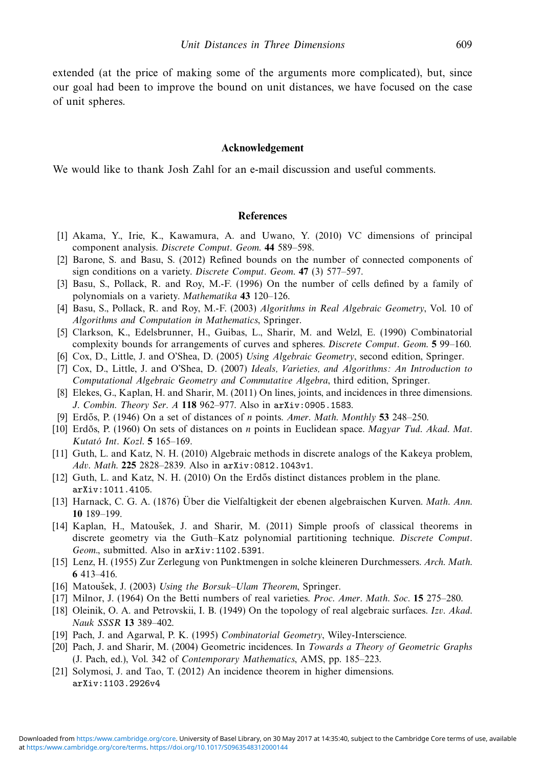extended (at the price of making some of the arguments more complicated), but, since our goal had been to improve the bound on unit distances, we have focused on the case of unit spheres.

#### **Acknowledgement**

We would like to thank Josh Zahl for an e-mail discussion and useful comments.

#### **References**

- [1] Akama, Y., Irie, K., Kawamura, A. and Uwano, Y. (2010) VC dimensions of principal component analysis. Discrete Comput. Geom. **44** 589–598.
- [2] Barone, S. and Basu, S. (2012) Refined bounds on the number of connected components of sign conditions on a variety. Discrete Comput. Geom. **47** (3) 577–597.
- [3] Basu, S., Pollack, R. and Roy, M.-F. (1996) On the number of cells defined by a family of polynomials on a variety. Mathematika **43** 120–126.
- [4] Basu, S., Pollack, R. and Roy, M.-F. (2003) Algorithms in Real Algebraic Geometry, Vol. 10 of Algorithms and Computation in Mathematics, Springer.
- [5] Clarkson, K., Edelsbrunner, H., Guibas, L., Sharir, M. and Welzl, E. (1990) Combinatorial complexity bounds for arrangements of curves and spheres. Discrete Comput. Geom. **5** 99–160.
- [6] Cox, D., Little, J. and O'Shea, D. (2005) Using Algebraic Geometry, second edition, Springer.
- [7] Cox, D., Little, J. and O'Shea, D. (2007) Ideals, Varieties, and Algorithms: An Introduction to Computational Algebraic Geometry and Commutative Algebra, third edition, Springer.
- [8] Elekes, G., Kaplan, H. and Sharir, M. (2011) On lines, joints, and incidences in three dimensions. J. Combin. Theory Ser. A **118** 962–977. Also in arXiv:0905.1583.
- [9] Erd˝os, P. (1946) On a set of distances of *n* points. Amer. Math. Monthly **53** 248–250.
- [10] Erd˝os, P. (1960) On sets of distances on *n* points in Euclidean space. Magyar Tud. Akad. Mat. Kutató Int. Kozl. **5** 165-169.
- [11] Guth, L. and Katz, N. H. (2010) Algebraic methods in discrete analogs of the Kakeya problem, Adv. Math. **225** 2828–2839. Also in arXiv:0812.1043v1.
- [12] Guth, L. and Katz, N. H. (2010) On the Erdős distinct distances problem in the plane. arXiv:1011.4105.
- [13] Harnack, C. G. A. (1876) Über die Vielfaltigkeit der ebenen algebraischen Kurven. Math. Ann. **10** 189–199.
- [14] Kaplan, H., Matoušek, J. and Sharir, M. (2011) Simple proofs of classical theorems in discrete geometry via the Guth–Katz polynomial partitioning technique. Discrete Comput. Geom., submitted. Also in arXiv:1102.5391.
- [15] Lenz, H. (1955) Zur Zerlegung von Punktmengen in solche kleineren Durchmessers. Arch. Math. **6** 413–416.
- [16] Matoušek, J. (2003) Using the Borsuk–Ulam Theorem, Springer.
- [17] Milnor, J. (1964) On the Betti numbers of real varieties. Proc. Amer. Math. Soc. **15** 275–280.
- [18] Oleinik, O. A. and Petrovskii, I. B. (1949) On the topology of real algebraic surfaces. Izv. Akad. Nauk SSSR **13** 389–402.
- [19] Pach, J. and Agarwal, P. K. (1995) Combinatorial Geometry, Wiley-Interscience.
- [20] Pach, J. and Sharir, M. (2004) Geometric incidences. In Towards a Theory of Geometric Graphs (J. Pach, ed.), Vol. 342 of Contemporary Mathematics, AMS, pp. 185–223.
- [21] Solymosi, J. and Tao, T. (2012) An incidence theorem in higher dimensions. arXiv:1103.2926v4